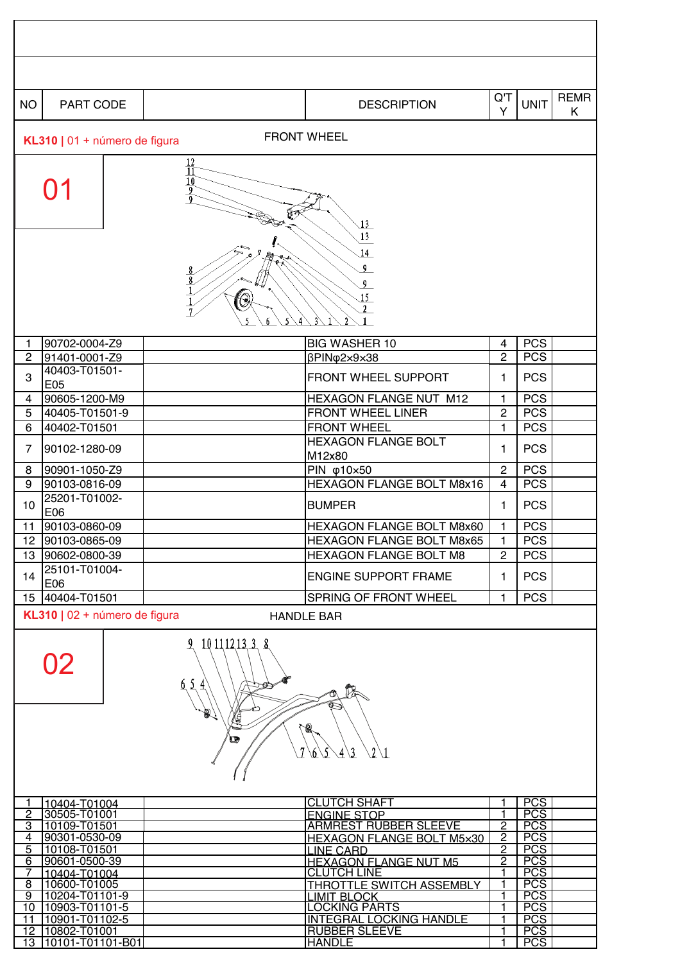| <b>NO</b><br>PART CODE                                                                                                                                      |                                                                                                              | <b>DESCRIPTION</b>                                         | $Q^{\dagger}$<br>Y               | <b>UNIT</b>              | <b>REMR</b><br>K |  |  |  |
|-------------------------------------------------------------------------------------------------------------------------------------------------------------|--------------------------------------------------------------------------------------------------------------|------------------------------------------------------------|----------------------------------|--------------------------|------------------|--|--|--|
|                                                                                                                                                             |                                                                                                              | <b>FRONT WHEEL</b>                                         |                                  |                          |                  |  |  |  |
|                                                                                                                                                             | KL310   01 + número de figura<br>$\frac{12}{11}$<br>$\frac{10}{9}$<br>$\overline{13}$<br>13<br>14<br>0<br>15 |                                                            |                                  |                          |                  |  |  |  |
| 90702-0004-Z9<br>1                                                                                                                                          |                                                                                                              | <b>BIG WASHER 10</b>                                       | 4                                | <b>PCS</b>               |                  |  |  |  |
| $\overline{c}$<br>91401-0001-Z9                                                                                                                             |                                                                                                              | βPIN <sub>Φ</sub> 2×9×38                                   | $\overline{2}$                   | <b>PCS</b>               |                  |  |  |  |
| 40403-T01501-<br>3<br>E05                                                                                                                                   |                                                                                                              | FRONT WHEEL SUPPORT                                        | 1                                | <b>PCS</b>               |                  |  |  |  |
| 90605-1200-M9<br>4                                                                                                                                          |                                                                                                              | HEXAGON FLANGE NUT M12                                     | 1                                | <b>PCS</b>               |                  |  |  |  |
| 5<br>40405-T01501-9                                                                                                                                         |                                                                                                              | FRONT WHEEL LINER                                          | $\overline{c}$                   | <b>PCS</b>               |                  |  |  |  |
| $\,6$<br>40402-T01501                                                                                                                                       |                                                                                                              | <b>FRONT WHEEL</b>                                         | 1                                | <b>PCS</b>               |                  |  |  |  |
| 7<br>90102-1280-09                                                                                                                                          |                                                                                                              | <b>HEXAGON FLANGE BOLT</b><br>M12x80                       | 1                                | <b>PCS</b>               |                  |  |  |  |
| 8<br>90901-1050-Z9                                                                                                                                          |                                                                                                              | PIN φ10×50                                                 | $\overline{2}$                   | <b>PCS</b>               |                  |  |  |  |
| 90103-0816-09<br>9                                                                                                                                          |                                                                                                              | HEXAGON FLANGE BOLT M8x16                                  | 4                                | <b>PCS</b>               |                  |  |  |  |
| 25201-T01002-<br>10<br>E06                                                                                                                                  |                                                                                                              | <b>BUMPER</b>                                              | 1                                | <b>PCS</b>               |                  |  |  |  |
| 90103-0860-09<br>11                                                                                                                                         |                                                                                                              | HEXAGON FLANGE BOLT M8x60                                  | $\mathbf{1}$                     | <b>PCS</b>               |                  |  |  |  |
| 12 90103-0865-09<br>13 90602-0800-39                                                                                                                        |                                                                                                              | HEXAGON FLANGE BOLT M8x65<br><b>HEXAGON FLANGE BOLT M8</b> | $\mathbf{1}$<br>$\overline{2}$   | <b>PCS</b><br><b>PCS</b> |                  |  |  |  |
| 25101-T01004-                                                                                                                                               |                                                                                                              |                                                            |                                  |                          |                  |  |  |  |
| 14<br>E06                                                                                                                                                   |                                                                                                              | <b>ENGINE SUPPORT FRAME</b>                                | 1.                               | <b>PCS</b>               |                  |  |  |  |
| 40404-T01501<br>15                                                                                                                                          |                                                                                                              | SPRING OF FRONT WHEEL                                      | 1                                | <b>PCS</b>               |                  |  |  |  |
| KL310   02 + número de figura                                                                                                                               |                                                                                                              | <b>HANDLE BAR</b>                                          |                                  |                          |                  |  |  |  |
| 9 10 11 12 13 3 8<br>02<br>6, 5<br>$\overline{4}$<br>A<br>瘦<br>É<br>$\mathscr{R}$<br>d<br>7<br>$\sqrt{2}\sqrt{1}$<br>$\mathcal{L}$<br>4/3<br>$\mathfrak{b}$ |                                                                                                              |                                                            |                                  |                          |                  |  |  |  |
| 10404-T01004<br>1<br>$\overline{2}$<br>30505-T01001                                                                                                         |                                                                                                              | <b>CLUTCH SHAFT</b><br><b>ENGINE STOP</b>                  | 1<br>$\mathbf{1}$                | <b>PCS</b><br><b>PCS</b> |                  |  |  |  |
| 3<br>10109-T01501                                                                                                                                           |                                                                                                              | <b>ARMREST RUBBER SLEEVE</b>                               | $\overline{2}$                   | <b>PCS</b>               |                  |  |  |  |
| 90301-0530-09<br>4<br>5<br>10108-T01501                                                                                                                     |                                                                                                              | <b>HEXAGON FLANGE BOLT M5x30</b><br><b>LINE CARD</b>       | $\overline{2}$<br>$\overline{2}$ | <b>PCS</b><br><b>PCS</b> |                  |  |  |  |
| 90601-0500-39<br>$\overline{6}$                                                                                                                             |                                                                                                              | <b>HEXAGON FLANGE NUT M5</b>                               | 2                                | <b>PCS</b>               |                  |  |  |  |
| 7<br>10404-T01004                                                                                                                                           |                                                                                                              | <b>CLUTCH LINE</b>                                         | 1                                | <b>PCS</b>               |                  |  |  |  |
| 10600-T01005<br>$\overline{8}$<br>$\overline{9}$<br>10204-T01101-9                                                                                          |                                                                                                              | THROTTLE SWITCH ASSEMBLY<br><b>LIMIT BLOCK</b>             | 1<br>1                           | <b>PCS</b><br><b>PCS</b> |                  |  |  |  |
| 10903-T01101-5<br>10                                                                                                                                        |                                                                                                              | <b>LOCKING PARTS</b>                                       | 1                                | <b>PCS</b>               |                  |  |  |  |
| 10901-T01102-5<br>11<br>10802-T01001<br>$\overline{12}$                                                                                                     |                                                                                                              | <b>INTEGRAL LOCKING HANDLE</b><br><b>RUBBER SLEEVE</b>     | 1<br>$\mathbf{1}$                | <b>PCS</b><br><b>PCS</b> |                  |  |  |  |
| $\overline{13}$<br>10101-T01101-B01                                                                                                                         |                                                                                                              | <b>HANDLE</b>                                              | 1                                | <b>PCS</b>               |                  |  |  |  |

 $\mathsf{r}$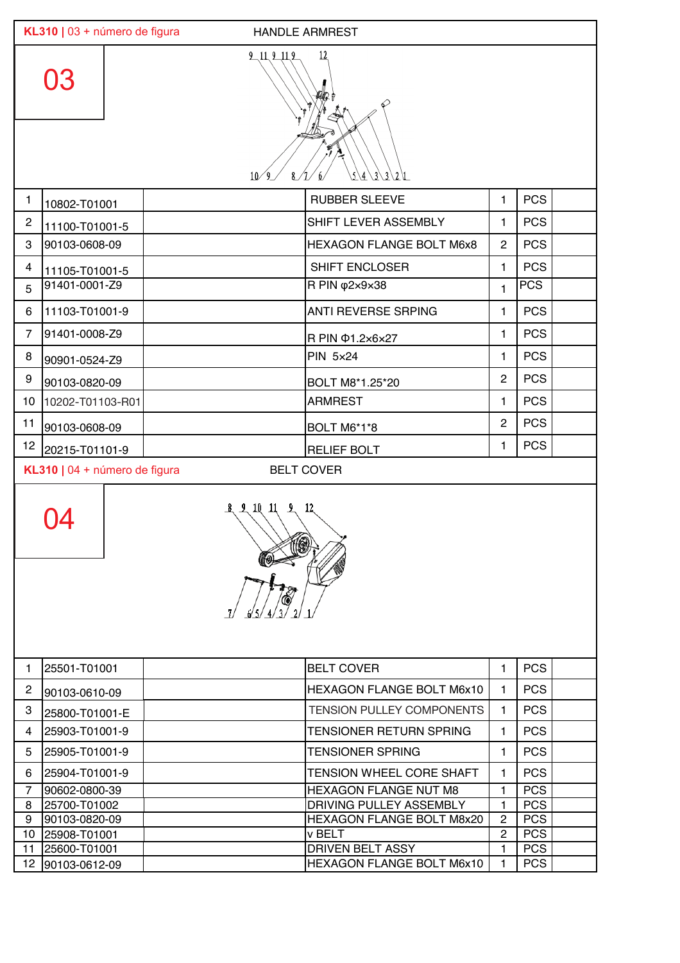| $\overline{12}$<br>$9 - 11$ , $9 - 11$ , $9$<br>10/9<br>$3221$<br><b>PCS</b><br><b>RUBBER SLEEVE</b><br>1<br>$\mathbf{1}$<br>10802-T01001<br><b>PCS</b><br>SHIFT LEVER ASSEMBLY<br>$\overline{c}$<br>$\mathbf{1}$<br>11100-T01001-5<br><b>PCS</b><br>3<br>90103-0608-09<br><b>HEXAGON FLANGE BOLT M6x8</b><br>$\overline{2}$<br><b>PCS</b><br>SHIFT ENCLOSER<br>$\overline{4}$<br>1<br>11105-T01001-5<br>91401-0001-Z9<br><b>PCS</b><br>R PIN φ2x9x38<br>5<br>$\mathbf{1}$<br><b>PCS</b><br><b>ANTI REVERSE SRPING</b><br>11103-T01001-9<br>6<br>1<br><b>PCS</b><br>91401-0008-Z9<br>$\overline{7}$<br>1<br>R PIN $\Phi$ 1.2x6x27<br><b>PCS</b><br><b>PIN 5x24</b><br>8<br>1<br>90901-0524-Z9<br><b>PCS</b><br>$\overline{2}$<br>9<br>90103-0820-09<br>BOLT M8*1.25*20<br><b>PCS</b><br>10<br><b>ARMREST</b><br>10202-T01103-R01<br>1<br><b>PCS</b><br>$\mathbf{2}$<br>11<br>90103-0608-09<br>BOLT M6*1*8<br><b>PCS</b><br>12<br>1.<br>20215-T01101-9<br><b>RELIEF BOLT</b><br>KL310   04 + número de figura<br><b>BELT COVER</b><br>ц<br><b>PCS</b><br>25501-T01001<br><b>BELT COVER</b><br>$\mathbf{1}$<br>1.<br><b>PCS</b><br><b>HEXAGON FLANGE BOLT M6x10</b><br>$\overline{c}$<br>1.<br>90103-0610-09<br><b>PCS</b><br>3<br><b>TENSION PULLEY COMPONENTS</b><br>1<br>25800-T01001-E<br><b>PCS</b><br>25903-T01001-9<br><b>TENSIONER RETURN SPRING</b><br>4<br>1<br><b>PCS</b><br>25905-T01001-9<br><b>TENSIONER SPRING</b><br>5<br>1<br><b>PCS</b><br>TENSION WHEEL CORE SHAFT<br>25904-T01001-9<br>6<br>1<br><b>PCS</b><br>$\overline{7}$<br>90602-0800-39<br><b>HEXAGON FLANGE NUT M8</b><br>1<br>25700-T01002<br>DRIVING PULLEY ASSEMBLY<br><b>PCS</b><br>8<br>1<br><b>PCS</b><br>90103-0820-09<br>HEXAGON FLANGE BOLT M8x20<br>9<br>$\overline{2}$<br><b>PCS</b><br>$\mathbf{2}$<br>10<br>v BELT<br>25908-T01001 |    | KL310   03 + número de figura<br><b>HANDLE ARMREST</b> |  |                         |   |            |  |  |  |
|---------------------------------------------------------------------------------------------------------------------------------------------------------------------------------------------------------------------------------------------------------------------------------------------------------------------------------------------------------------------------------------------------------------------------------------------------------------------------------------------------------------------------------------------------------------------------------------------------------------------------------------------------------------------------------------------------------------------------------------------------------------------------------------------------------------------------------------------------------------------------------------------------------------------------------------------------------------------------------------------------------------------------------------------------------------------------------------------------------------------------------------------------------------------------------------------------------------------------------------------------------------------------------------------------------------------------------------------------------------------------------------------------------------------------------------------------------------------------------------------------------------------------------------------------------------------------------------------------------------------------------------------------------------------------------------------------------------------------------------------------------------------------------------------------------------------------|----|--------------------------------------------------------|--|-------------------------|---|------------|--|--|--|
|                                                                                                                                                                                                                                                                                                                                                                                                                                                                                                                                                                                                                                                                                                                                                                                                                                                                                                                                                                                                                                                                                                                                                                                                                                                                                                                                                                                                                                                                                                                                                                                                                                                                                                                                                                                                                           |    |                                                        |  |                         |   |            |  |  |  |
|                                                                                                                                                                                                                                                                                                                                                                                                                                                                                                                                                                                                                                                                                                                                                                                                                                                                                                                                                                                                                                                                                                                                                                                                                                                                                                                                                                                                                                                                                                                                                                                                                                                                                                                                                                                                                           |    |                                                        |  |                         |   |            |  |  |  |
|                                                                                                                                                                                                                                                                                                                                                                                                                                                                                                                                                                                                                                                                                                                                                                                                                                                                                                                                                                                                                                                                                                                                                                                                                                                                                                                                                                                                                                                                                                                                                                                                                                                                                                                                                                                                                           |    |                                                        |  |                         |   |            |  |  |  |
|                                                                                                                                                                                                                                                                                                                                                                                                                                                                                                                                                                                                                                                                                                                                                                                                                                                                                                                                                                                                                                                                                                                                                                                                                                                                                                                                                                                                                                                                                                                                                                                                                                                                                                                                                                                                                           |    |                                                        |  |                         |   |            |  |  |  |
|                                                                                                                                                                                                                                                                                                                                                                                                                                                                                                                                                                                                                                                                                                                                                                                                                                                                                                                                                                                                                                                                                                                                                                                                                                                                                                                                                                                                                                                                                                                                                                                                                                                                                                                                                                                                                           |    |                                                        |  |                         |   |            |  |  |  |
|                                                                                                                                                                                                                                                                                                                                                                                                                                                                                                                                                                                                                                                                                                                                                                                                                                                                                                                                                                                                                                                                                                                                                                                                                                                                                                                                                                                                                                                                                                                                                                                                                                                                                                                                                                                                                           |    |                                                        |  |                         |   |            |  |  |  |
|                                                                                                                                                                                                                                                                                                                                                                                                                                                                                                                                                                                                                                                                                                                                                                                                                                                                                                                                                                                                                                                                                                                                                                                                                                                                                                                                                                                                                                                                                                                                                                                                                                                                                                                                                                                                                           |    |                                                        |  |                         |   |            |  |  |  |
|                                                                                                                                                                                                                                                                                                                                                                                                                                                                                                                                                                                                                                                                                                                                                                                                                                                                                                                                                                                                                                                                                                                                                                                                                                                                                                                                                                                                                                                                                                                                                                                                                                                                                                                                                                                                                           |    |                                                        |  |                         |   |            |  |  |  |
|                                                                                                                                                                                                                                                                                                                                                                                                                                                                                                                                                                                                                                                                                                                                                                                                                                                                                                                                                                                                                                                                                                                                                                                                                                                                                                                                                                                                                                                                                                                                                                                                                                                                                                                                                                                                                           |    |                                                        |  |                         |   |            |  |  |  |
|                                                                                                                                                                                                                                                                                                                                                                                                                                                                                                                                                                                                                                                                                                                                                                                                                                                                                                                                                                                                                                                                                                                                                                                                                                                                                                                                                                                                                                                                                                                                                                                                                                                                                                                                                                                                                           |    |                                                        |  |                         |   |            |  |  |  |
|                                                                                                                                                                                                                                                                                                                                                                                                                                                                                                                                                                                                                                                                                                                                                                                                                                                                                                                                                                                                                                                                                                                                                                                                                                                                                                                                                                                                                                                                                                                                                                                                                                                                                                                                                                                                                           |    |                                                        |  |                         |   |            |  |  |  |
|                                                                                                                                                                                                                                                                                                                                                                                                                                                                                                                                                                                                                                                                                                                                                                                                                                                                                                                                                                                                                                                                                                                                                                                                                                                                                                                                                                                                                                                                                                                                                                                                                                                                                                                                                                                                                           |    |                                                        |  |                         |   |            |  |  |  |
|                                                                                                                                                                                                                                                                                                                                                                                                                                                                                                                                                                                                                                                                                                                                                                                                                                                                                                                                                                                                                                                                                                                                                                                                                                                                                                                                                                                                                                                                                                                                                                                                                                                                                                                                                                                                                           |    |                                                        |  |                         |   |            |  |  |  |
|                                                                                                                                                                                                                                                                                                                                                                                                                                                                                                                                                                                                                                                                                                                                                                                                                                                                                                                                                                                                                                                                                                                                                                                                                                                                                                                                                                                                                                                                                                                                                                                                                                                                                                                                                                                                                           |    |                                                        |  |                         |   |            |  |  |  |
|                                                                                                                                                                                                                                                                                                                                                                                                                                                                                                                                                                                                                                                                                                                                                                                                                                                                                                                                                                                                                                                                                                                                                                                                                                                                                                                                                                                                                                                                                                                                                                                                                                                                                                                                                                                                                           |    |                                                        |  |                         |   |            |  |  |  |
|                                                                                                                                                                                                                                                                                                                                                                                                                                                                                                                                                                                                                                                                                                                                                                                                                                                                                                                                                                                                                                                                                                                                                                                                                                                                                                                                                                                                                                                                                                                                                                                                                                                                                                                                                                                                                           |    |                                                        |  |                         |   |            |  |  |  |
|                                                                                                                                                                                                                                                                                                                                                                                                                                                                                                                                                                                                                                                                                                                                                                                                                                                                                                                                                                                                                                                                                                                                                                                                                                                                                                                                                                                                                                                                                                                                                                                                                                                                                                                                                                                                                           |    |                                                        |  |                         |   |            |  |  |  |
|                                                                                                                                                                                                                                                                                                                                                                                                                                                                                                                                                                                                                                                                                                                                                                                                                                                                                                                                                                                                                                                                                                                                                                                                                                                                                                                                                                                                                                                                                                                                                                                                                                                                                                                                                                                                                           |    |                                                        |  |                         |   |            |  |  |  |
|                                                                                                                                                                                                                                                                                                                                                                                                                                                                                                                                                                                                                                                                                                                                                                                                                                                                                                                                                                                                                                                                                                                                                                                                                                                                                                                                                                                                                                                                                                                                                                                                                                                                                                                                                                                                                           |    |                                                        |  |                         |   |            |  |  |  |
|                                                                                                                                                                                                                                                                                                                                                                                                                                                                                                                                                                                                                                                                                                                                                                                                                                                                                                                                                                                                                                                                                                                                                                                                                                                                                                                                                                                                                                                                                                                                                                                                                                                                                                                                                                                                                           |    |                                                        |  |                         |   |            |  |  |  |
|                                                                                                                                                                                                                                                                                                                                                                                                                                                                                                                                                                                                                                                                                                                                                                                                                                                                                                                                                                                                                                                                                                                                                                                                                                                                                                                                                                                                                                                                                                                                                                                                                                                                                                                                                                                                                           |    |                                                        |  |                         |   |            |  |  |  |
|                                                                                                                                                                                                                                                                                                                                                                                                                                                                                                                                                                                                                                                                                                                                                                                                                                                                                                                                                                                                                                                                                                                                                                                                                                                                                                                                                                                                                                                                                                                                                                                                                                                                                                                                                                                                                           |    |                                                        |  |                         |   |            |  |  |  |
|                                                                                                                                                                                                                                                                                                                                                                                                                                                                                                                                                                                                                                                                                                                                                                                                                                                                                                                                                                                                                                                                                                                                                                                                                                                                                                                                                                                                                                                                                                                                                                                                                                                                                                                                                                                                                           |    |                                                        |  |                         |   |            |  |  |  |
|                                                                                                                                                                                                                                                                                                                                                                                                                                                                                                                                                                                                                                                                                                                                                                                                                                                                                                                                                                                                                                                                                                                                                                                                                                                                                                                                                                                                                                                                                                                                                                                                                                                                                                                                                                                                                           |    |                                                        |  |                         |   |            |  |  |  |
|                                                                                                                                                                                                                                                                                                                                                                                                                                                                                                                                                                                                                                                                                                                                                                                                                                                                                                                                                                                                                                                                                                                                                                                                                                                                                                                                                                                                                                                                                                                                                                                                                                                                                                                                                                                                                           |    |                                                        |  |                         |   |            |  |  |  |
|                                                                                                                                                                                                                                                                                                                                                                                                                                                                                                                                                                                                                                                                                                                                                                                                                                                                                                                                                                                                                                                                                                                                                                                                                                                                                                                                                                                                                                                                                                                                                                                                                                                                                                                                                                                                                           |    |                                                        |  |                         |   |            |  |  |  |
|                                                                                                                                                                                                                                                                                                                                                                                                                                                                                                                                                                                                                                                                                                                                                                                                                                                                                                                                                                                                                                                                                                                                                                                                                                                                                                                                                                                                                                                                                                                                                                                                                                                                                                                                                                                                                           | 11 | 25600-T01001                                           |  | <b>DRIVEN BELT ASSY</b> | 1 | <b>PCS</b> |  |  |  |
| 12<br>HEXAGON FLANGE BOLT M6x10<br><b>PCS</b><br>90103-0612-09<br>1                                                                                                                                                                                                                                                                                                                                                                                                                                                                                                                                                                                                                                                                                                                                                                                                                                                                                                                                                                                                                                                                                                                                                                                                                                                                                                                                                                                                                                                                                                                                                                                                                                                                                                                                                       |    |                                                        |  |                         |   |            |  |  |  |

 $12.90\pm0.000$  flange bolt  $\sim$  12  $\pm0.000$  flange bolt  $\sim$  12  $\pm0.000$  flange bolt  $\sim$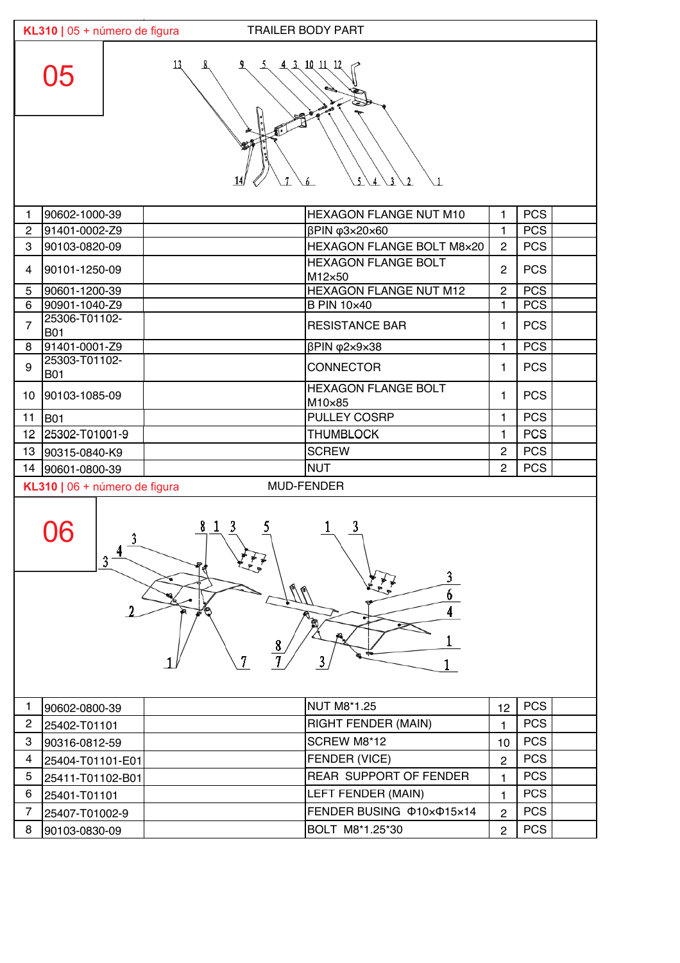|                                                  | <b>TRAILER BODY PART</b><br>KL310   05 + número de figura |                                      |                |            |  |  |  |
|--------------------------------------------------|-----------------------------------------------------------|--------------------------------------|----------------|------------|--|--|--|
| 43101112<br>05<br>$\overline{2}$<br>$\mathbf{1}$ |                                                           |                                      |                |            |  |  |  |
| 1                                                | 90602-1000-39                                             | HEXAGON FLANGE NUT M10               | $\mathbf{1}$   | <b>PCS</b> |  |  |  |
| $\overline{c}$                                   | 91401-0002-Z9                                             | βPIN φ3x20x60                        | 1              | <b>PCS</b> |  |  |  |
| 3                                                | 90103-0820-09                                             | HEXAGON FLANGE BOLT M8×20            | $\overline{2}$ | <b>PCS</b> |  |  |  |
| 4                                                | 90101-1250-09                                             | <b>HEXAGON FLANGE BOLT</b><br>M12×50 | $\mathbf{2}$   | <b>PCS</b> |  |  |  |
| 5                                                | 90601-1200-39                                             | HEXAGON FLANGE NUT M12               | $\overline{c}$ | <b>PCS</b> |  |  |  |
| 6                                                | 90901-1040-Z9                                             | <b>B PIN 10×40</b>                   | $\mathbf{1}$   | <b>PCS</b> |  |  |  |
| $\overline{7}$                                   | 25306-T01102-<br><b>B01</b>                               | <b>RESISTANCE BAR</b>                | 1              | <b>PCS</b> |  |  |  |
| 8                                                | 91401-0001-Z9                                             | βPIN φ2×9×38                         | $\mathbf{1}$   | <b>PCS</b> |  |  |  |
| 9                                                | 25303-T01102-<br><b>B01</b>                               | <b>CONNECTOR</b>                     | $\mathbf{1}$   | <b>PCS</b> |  |  |  |
| 10 <sup>1</sup>                                  | 90103-1085-09                                             | <b>HEXAGON FLANGE BOLT</b><br>M10×85 | $\mathbf{1}$   | <b>PCS</b> |  |  |  |
| 11                                               | <b>B01</b>                                                | PULLEY COSRP                         | $\mathbf{1}$   | <b>PCS</b> |  |  |  |
|                                                  | 12 25302-T01001-9                                         | <b>THUMBLOCK</b>                     | 1              | <b>PCS</b> |  |  |  |
|                                                  | 13 90315-0840-K9                                          | <b>SCREW</b>                         | $\overline{2}$ | <b>PCS</b> |  |  |  |
|                                                  | 14 90601-0800-39                                          | <b>NUT</b>                           | $\overline{2}$ | <b>PCS</b> |  |  |  |
| MUD-FENDER<br>KL310   06 + número de figura      |                                                           |                                      |                |            |  |  |  |
|                                                  | 06<br>3<br>3                                              |                                      |                |            |  |  |  |



|   | 90602-0800-39    | NUT M8*1.25                   | 12            | <b>PCS</b> |  |
|---|------------------|-------------------------------|---------------|------------|--|
| 2 | 25402-T01101     | <b>RIGHT FENDER (MAIN)</b>    |               | <b>PCS</b> |  |
| з | 90316-0812-59    | SCREW M8*12                   | 10            | <b>PCS</b> |  |
|   | 25404-T01101-E01 | <b>FENDER (VICE)</b>          | 2             | <b>PCS</b> |  |
| 5 | 25411-T01102-B01 | <b>REAR SUPPORT OF FENDER</b> |               | <b>PCS</b> |  |
| 6 | 25401-T01101     | <b>LEFT FENDER (MAIN)</b>     |               | <b>PCS</b> |  |
|   | 25407-T01002-9   | FENDER BUSING @10x@15x14      | $\mathcal{P}$ | <b>PCS</b> |  |
| 8 | 90103-0830-09    | BOLT M8*1.25*30               | 2             | <b>PCS</b> |  |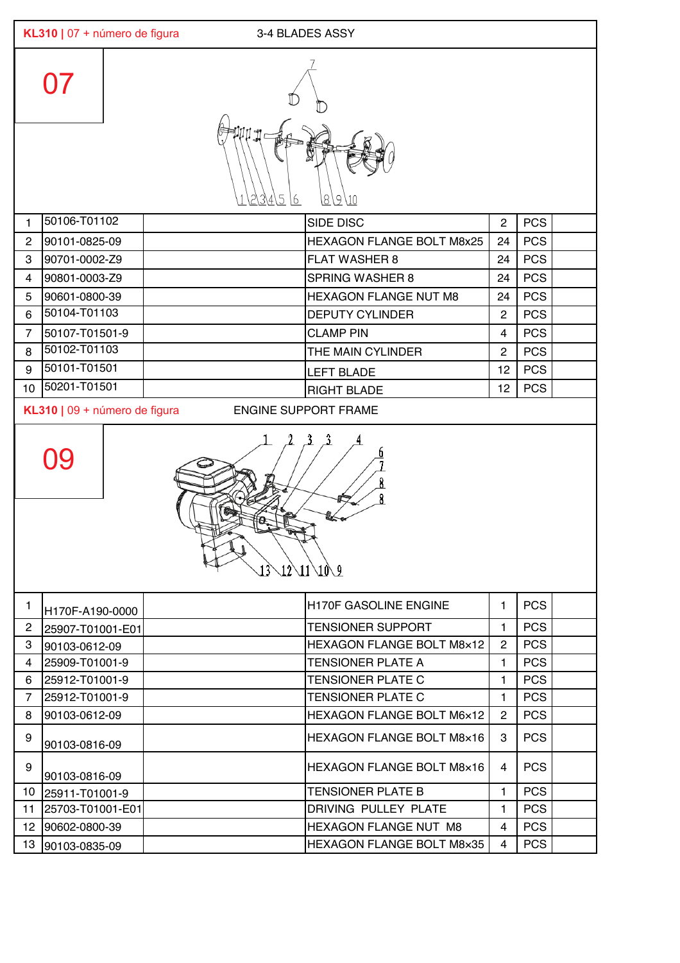|                         | KL310   07 + número de figura<br>3-4 BLADES ASSY |                                                                |                |            |  |  |  |  |
|-------------------------|--------------------------------------------------|----------------------------------------------------------------|----------------|------------|--|--|--|--|
|                         | $\Omega$                                         |                                                                |                |            |  |  |  |  |
|                         |                                                  | 5<br>8<br><u>9\10</u><br>16                                    |                |            |  |  |  |  |
| $\mathbf{1}$            | 50106-T01102                                     | <b>SIDE DISC</b>                                               | $\overline{2}$ | <b>PCS</b> |  |  |  |  |
| $\overline{c}$          | 90101-0825-09                                    | <b>HEXAGON FLANGE BOLT M8x25</b>                               | 24             | <b>PCS</b> |  |  |  |  |
| 3                       | 90701-0002-Z9                                    | <b>FLAT WASHER 8</b>                                           | 24             | <b>PCS</b> |  |  |  |  |
| 4                       | 90801-0003-Z9                                    | <b>SPRING WASHER 8</b>                                         | 24             | <b>PCS</b> |  |  |  |  |
| 5                       | 90601-0800-39                                    | <b>HEXAGON FLANGE NUT M8</b>                                   | 24             | <b>PCS</b> |  |  |  |  |
| $\,6\,$                 | 50104-T01103                                     | <b>DEPUTY CYLINDER</b>                                         | $\mathbf{2}$   | <b>PCS</b> |  |  |  |  |
| $\overline{7}$          | 50107-T01501-9                                   | <b>CLAMP PIN</b>                                               | $\overline{4}$ | <b>PCS</b> |  |  |  |  |
| 8                       | 50102-T01103                                     | THE MAIN CYLINDER                                              | $\mathbf{2}$   | <b>PCS</b> |  |  |  |  |
| 9                       | 50101-T01501                                     | <b>LEFT BLADE</b>                                              | 12             | <b>PCS</b> |  |  |  |  |
| 10                      | 50201-T01501                                     | <b>RIGHT BLADE</b>                                             | 12             | <b>PCS</b> |  |  |  |  |
|                         | KL310   09 + número de figura                    | <b>ENGINE SUPPORT FRAME</b>                                    |                |            |  |  |  |  |
|                         | 09                                               | τ€κ<br>$13\backslash 12\backslash 11\backslash 10\backslash 9$ |                |            |  |  |  |  |
| 1.                      | H170F-A190-0000                                  | <b>H170F GASOLINE ENGINE</b>                                   | $\mathbf{1}$   | <b>PCS</b> |  |  |  |  |
| $\overline{c}$          | 25907-T01001-E01                                 | <b>TENSIONER SUPPORT</b>                                       | 1              | <b>PCS</b> |  |  |  |  |
| 3                       | 90103-0612-09                                    | <b>HEXAGON FLANGE BOLT M8x12</b>                               | $\overline{2}$ | <b>PCS</b> |  |  |  |  |
| $\overline{\mathbf{4}}$ | 25909-T01001-9                                   | <b>TENSIONER PLATE A</b>                                       | 1              | <b>PCS</b> |  |  |  |  |
| 6                       | 25912-T01001-9                                   | <b>TENSIONER PLATE C</b>                                       | $\mathbf{1}$   | <b>PCS</b> |  |  |  |  |
| $\overline{7}$          | 25912-T01001-9                                   | <b>TENSIONER PLATE C</b>                                       | 1              | <b>PCS</b> |  |  |  |  |
| 8                       | 90103-0612-09                                    | HEXAGON FLANGE BOLT M6x12                                      | $\overline{2}$ | <b>PCS</b> |  |  |  |  |
| 9                       | 90103-0816-09                                    | HEXAGON FLANGE BOLT M8x16                                      | 3              | <b>PCS</b> |  |  |  |  |
| 9                       | 90103-0816-09                                    | <b>HEXAGON FLANGE BOLT M8x16</b>                               | 4              | <b>PCS</b> |  |  |  |  |
| 10                      | 25911-T01001-9                                   | <b>TENSIONER PLATE B</b>                                       | $\mathbf{1}$   | <b>PCS</b> |  |  |  |  |
| 11                      | 25703-T01001-E01                                 | DRIVING PULLEY PLATE                                           | 1.             | <b>PCS</b> |  |  |  |  |
| 12 <sup>°</sup>         | 90602-0800-39                                    | HEXAGON FLANGE NUT M8                                          | 4              | <b>PCS</b> |  |  |  |  |
| 13                      | 90103-0835-09                                    | HEXAGON FLANGE BOLT M8x35                                      | 4              | <b>PCS</b> |  |  |  |  |